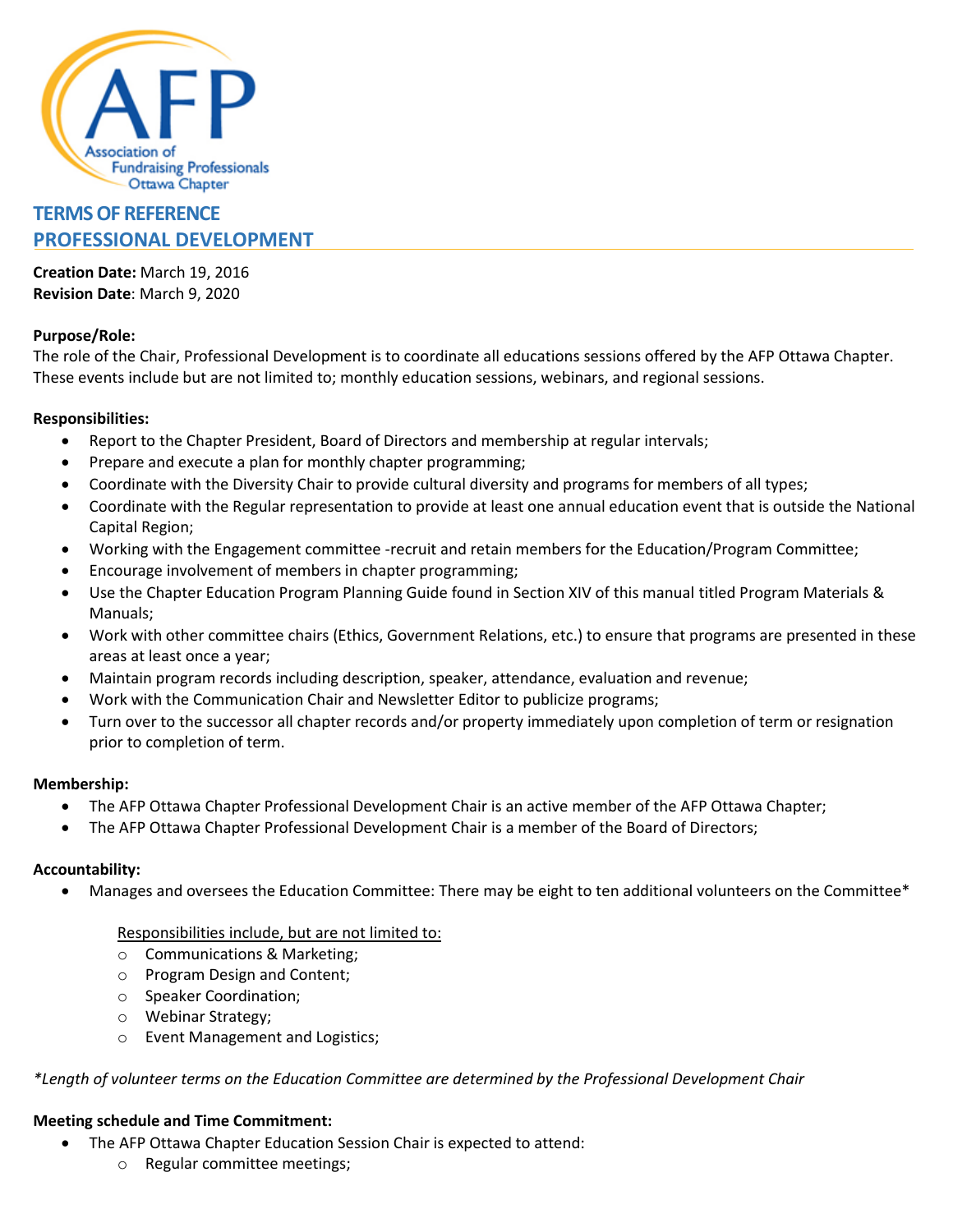

# **TERMS OF REFERENCE PROFESSIONAL DEVELOPMENT**

**Creation Date:** March 19, 2016 **Revision Date**: March 9, 2020

## **Purpose/Role:**

The role of the Chair, Professional Development is to coordinate all educations sessions offered by the AFP Ottawa Chapter. These events include but are not limited to; monthly education sessions, webinars, and regional sessions.

## **Responsibilities:**

- Report to the Chapter President, Board of Directors and membership at regular intervals;
- Prepare and execute a plan for monthly chapter programming;
- Coordinate with the Diversity Chair to provide cultural diversity and programs for members of all types;
- Coordinate with the Regular representation to provide at least one annual education event that is outside the National Capital Region;
- Working with the Engagement committee -recruit and retain members for the Education/Program Committee;
- Encourage involvement of members in chapter programming;
- Use the Chapter Education Program Planning Guide found in Section XIV of this manual titled Program Materials & Manuals;
- Work with other committee chairs (Ethics, Government Relations, etc.) to ensure that programs are presented in these areas at least once a year;
- Maintain program records including description, speaker, attendance, evaluation and revenue;
- Work with the Communication Chair and Newsletter Editor to publicize programs;
- Turn over to the successor all chapter records and/or property immediately upon completion of term or resignation prior to completion of term.

#### **Membership:**

- The AFP Ottawa Chapter Professional Development Chair is an active member of the AFP Ottawa Chapter;
- The AFP Ottawa Chapter Professional Development Chair is a member of the Board of Directors;

#### **Accountability:**

• Manages and oversees the Education Committee: There may be eight to ten additional volunteers on the Committee\*

#### Responsibilities include, but are not limited to:

- o Communications & Marketing;
- o Program Design and Content;
- o Speaker Coordination;
- o Webinar Strategy;
- o Event Management and Logistics;

#### *\*Length of volunteer terms on the Education Committee are determined by the Professional Development Chair*

## **Meeting schedule and Time Commitment:**

- The AFP Ottawa Chapter Education Session Chair is expected to attend:
	- o Regular committee meetings;